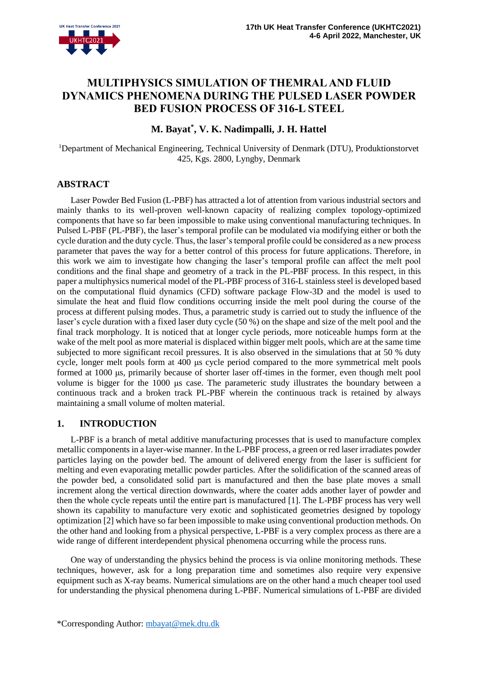# **MULTIPHYSICS SIMULATION OF THEMRAL AND FLUID DYNAMICS PHENOMENA DURING THE PULSED LASER POWDER BED FUSION PROCESS OF 316-L STEEL**

## **M. Bayat\* , V. K. Nadimpalli, J. H. Hattel**

<sup>1</sup>Department of Mechanical Engineering, Technical University of Denmark (DTU), Produktionstorvet 425, Kgs. 2800, Lyngby, Denmark

## **ABSTRACT**

Laser Powder Bed Fusion (L-PBF) has attracted a lot of attention from various industrial sectors and mainly thanks to its well-proven well-known capacity of realizing complex topology-optimized components that have so far been impossible to make using conventional manufacturing techniques. In Pulsed L-PBF (PL-PBF), the laser's temporal profile can be modulated via modifying either or both the cycle duration and the duty cycle. Thus, the laser's temporal profile could be considered as a new process parameter that paves the way for a better control of this process for future applications. Therefore, in this work we aim to investigate how changing the laser's temporal profile can affect the melt pool conditions and the final shape and geometry of a track in the PL-PBF process. In this respect, in this paper a multiphysics numerical model of the PL-PBF process of 316-L stainless steel is developed based on the computational fluid dynamics (CFD) software package Flow-3D and the model is used to simulate the heat and fluid flow conditions occurring inside the melt pool during the course of the process at different pulsing modes. Thus, a parametric study is carried out to study the influence of the laser's cycle duration with a fixed laser duty cycle (50 %) on the shape and size of the melt pool and the final track morphology. It is noticed that at longer cycle periods, more noticeable humps form at the wake of the melt pool as more material is displaced within bigger melt pools, which are at the same time subjected to more significant recoil pressures. It is also observed in the simulations that at 50 % duty cycle, longer melt pools form at 400 μs cycle period compared to the more symmetrical melt pools formed at 1000 μs, primarily because of shorter laser off-times in the former, even though melt pool volume is bigger for the 1000 μs case. The parameteric study illustrates the boundary between a continuous track and a broken track PL-PBF wherein the continuous track is retained by always maintaining a small volume of molten material.

## **1. INTRODUCTION**

L-PBF is a branch of metal additive manufacturing processes that is used to manufacture complex metallic components in a layer-wise manner. In the L-PBF process, a green or red laser irradiates powder particles laying on the powder bed. The amount of delivered energy from the laser is sufficient for melting and even evaporating metallic powder particles. After the solidification of the scanned areas of the powder bed, a consolidated solid part is manufactured and then the base plate moves a small increment along the vertical direction downwards, where the coater adds another layer of powder and then the whole cycle repeats until the entire part is manufactured [1]. The L-PBF process has very well shown its capability to manufacture very exotic and sophisticated geometries designed by topology optimization [2] which have so far been impossible to make using conventional production methods. On the other hand and looking from a physical perspective, L-PBF is a very complex process as there are a wide range of different interdependent physical phenomena occurring while the process runs.

One way of understanding the physics behind the process is via online monitoring methods. These techniques, however, ask for a long preparation time and sometimes also require very expensive equipment such as X-ray beams. Numerical simulations are on the other hand a much cheaper tool used for understanding the physical phenomena during L-PBF. Numerical simulations of L-PBF are divided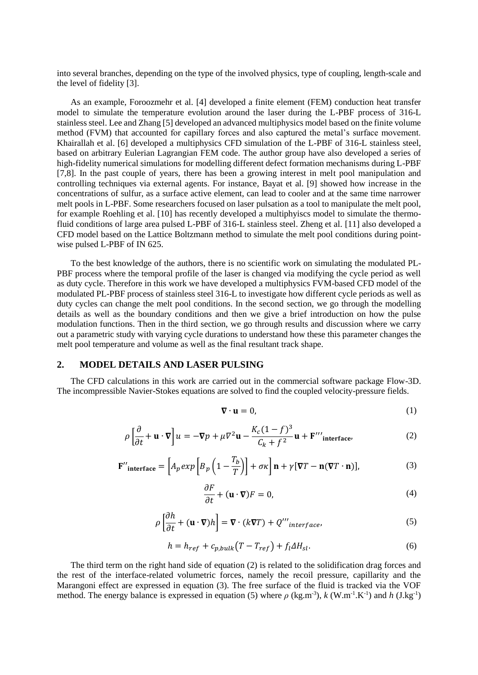into several branches, depending on the type of the involved physics, type of coupling, length-scale and the level of fidelity [3].

As an example, Foroozmehr et al. [4] developed a finite element (FEM) conduction heat transfer model to simulate the temperature evolution around the laser during the L-PBF process of 316-L stainless steel. Lee and Zhang [5] developed an advanced multiphysics model based on the finite volume method (FVM) that accounted for capillary forces and also captured the metal's surface movement. Khairallah et al. [6] developed a multiphysics CFD simulation of the L-PBF of 316-L stainless steel, based on arbitrary Eulerian Lagrangian FEM code. The author group have also developed a series of high-fidelity numerical simulations for modelling different defect formation mechanisms during L-PBF [7,8]. In the past couple of years, there has been a growing interest in melt pool manipulation and controlling techniques via external agents. For instance, Bayat et al. [9] showed how increase in the concentrations of sulfur, as a surface active element, can lead to cooler and at the same time narrower melt pools in L-PBF. Some researchers focused on laser pulsation as a tool to manipulate the melt pool, for example Roehling et al. [10] has recently developed a multiphyiscs model to simulate the thermofluid conditions of large area pulsed L-PBF of 316-L stainless steel. Zheng et al. [11] also developed a CFD model based on the Lattice Boltzmann method to simulate the melt pool conditions during pointwise pulsed L-PBF of IN 625.

To the best knowledge of the authors, there is no scientific work on simulating the modulated PL-PBF process where the temporal profile of the laser is changed via modifying the cycle period as well as duty cycle. Therefore in this work we have developed a multiphysics FVM-based CFD model of the modulated PL-PBF process of stainless steel 316-L to investigate how different cycle periods as well as duty cycles can change the melt pool conditions. In the second section, we go through the modelling details as well as the boundary conditions and then we give a brief introduction on how the pulse modulation functions. Then in the third section, we go through results and discussion where we carry out a parametric study with varying cycle durations to understand how these this parameter changes the melt pool temperature and volume as well as the final resultant track shape.

#### **2. MODEL DETAILS AND LASER PULSING**

The CFD calculations in this work are carried out in the commercial software package Flow-3D. The incompressible Navier-Stokes equations are solved to find the coupled velocity-pressure fields.

$$
\nabla \cdot \mathbf{u} = 0,\tag{1}
$$

$$
\rho \left[ \frac{\partial}{\partial t} + \mathbf{u} \cdot \nabla \right] u = -\nabla p + \mu \nabla^2 \mathbf{u} - \frac{K_c (1 - f)^3}{C_k + f^2} \mathbf{u} + \mathbf{F}''' \text{interface} \tag{2}
$$

$$
\mathbf{F}^{\prime\prime}_{\text{interface}} = \left[A_p \exp\left[B_p \left(1 - \frac{T_b}{T}\right)\right] + \sigma \kappa\right] \mathbf{n} + \gamma [\nabla T - \mathbf{n}(\nabla T \cdot \mathbf{n})],\tag{3}
$$

$$
\frac{\partial F}{\partial t} + (\mathbf{u} \cdot \nabla) F = 0,\tag{4}
$$

$$
\rho \left[ \frac{\partial h}{\partial t} + (\mathbf{u} \cdot \nabla) h \right] = \nabla \cdot (k \nabla T) + Q'''_{interface},\tag{5}
$$

$$
h = h_{ref} + c_{p,bulk}(T - T_{ref}) + f_l \Delta H_{sl}.
$$
\n<sup>(6)</sup>

The third term on the right hand side of equation (2) is related to the solidification drag forces and the rest of the interface-related volumetric forces, namely the recoil pressure, capillarity and the Marangoni effect are expressed in equation (3). The free surface of the fluid is tracked via the VOF method. The energy balance is expressed in equation (5) where  $\rho$  (kg.m<sup>-3</sup>),  $k$  (W.m<sup>-1</sup>.K<sup>-1</sup>) and  $h$  (J.kg<sup>-1</sup>)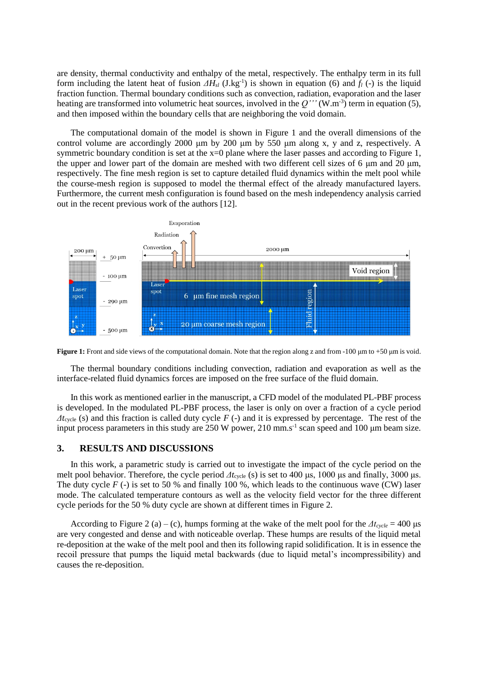are density, thermal conductivity and enthalpy of the metal, respectively. The enthalpy term in its full form including the latent heat of fusion  $\Delta H_{sl}$  (J.kg<sup>-1</sup>) is shown in equation (6) and  $f_l$  (-) is the liquid fraction function. Thermal boundary conditions such as convection, radiation, evaporation and the laser heating are transformed into volumetric heat sources, involved in the  $Q''''(W.m^{-3})$  term in equation (5), and then imposed within the boundary cells that are neighboring the void domain.

The computational domain of the model is shown in [Figure 1](#page-2-0) and the overall dimensions of the control volume are accordingly 2000 μm by 200 μm by 550 μm along x, y and z, respectively. A symmetric boundary condition is set at the x=0 plane where the laser passes and according to [Figure 1,](#page-2-0) the upper and lower part of the domain are meshed with two different cell sizes of 6  $\mu$ m and 20  $\mu$ m, respectively. The fine mesh region is set to capture detailed fluid dynamics within the melt pool while the course-mesh region is supposed to model the thermal effect of the already manufactured layers. Furthermore, the current mesh configuration is found based on the mesh independency analysis carried out in the recent previous work of the authors [12].



<span id="page-2-0"></span>**Figure 1:** Front and side views of the computational domain. Note that the region along z and from -100 μm to +50 μm is void.

The thermal boundary conditions including convection, radiation and evaporation as well as the interface-related fluid dynamics forces are imposed on the free surface of the fluid domain.

In this work as mentioned earlier in the manuscript, a CFD model of the modulated PL-PBF process is developed. In the modulated PL-PBF process, the laser is only on over a fraction of a cycle period *Δt*cycle (s) and this fraction is called duty cycle *F* (-) and it is expressed by percentage. The rest of the input process parameters in this study are  $250 \text{ W}$  power,  $210 \text{ mm} \cdot \text{s}^{-1}$  scan speed and  $100 \mu \text{m}$  beam size.

#### **3. RESULTS AND DISCUSSIONS**

In this work, a parametric study is carried out to investigate the impact of the cycle period on the melt pool behavior. Therefore, the cycle period  $\Delta t_{\text{cycle}}$  (s) is set to 400 μs, 1000 μs and finally, 3000 μs. The duty cycle *F* (-) is set to 50 % and finally 100 %, which leads to the continuous wave (CW) laser mode. The calculated temperature contours as well as the velocity field vector for the three different cycle periods for the 50 % duty cycle are shown at different times in [Figure 2.](#page-3-0)

According to [Figure 2](#page-3-0) (a) – (c), humps forming at the wake of the melt pool for the  $\Delta t_{cycle} = 400 \,\mu s$ are very congested and dense and with noticeable overlap. These humps are results of the liquid metal re-deposition at the wake of the melt pool and then its following rapid solidification. It is in essence the recoil pressure that pumps the liquid metal backwards (due to liquid metal's incompressibility) and causes the re-deposition.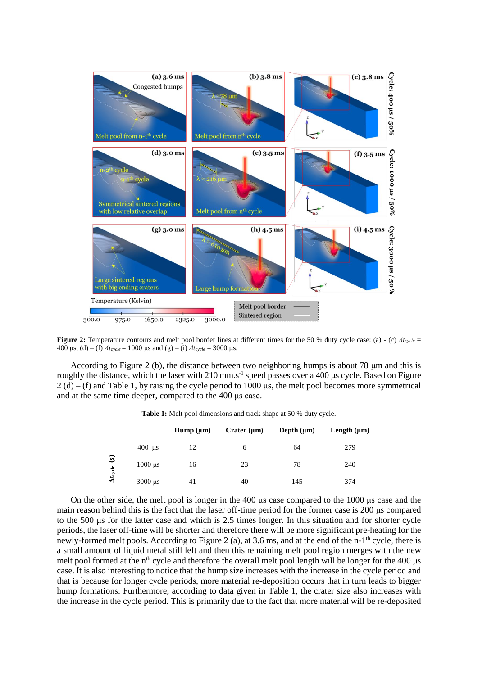

<span id="page-3-0"></span>**Figure 2:** Temperature contours and melt pool border lines at different times for the 50 % duty cycle case: (a) - (c)  $\Delta t_{cycle}$  = 400 μs, (d) – (f)  $\Delta t_{cycle} = 1000$  μs and (g) – (i)  $\Delta t_{cycle} = 3000$  μs.

<span id="page-3-1"></span>According to [Figure 2](#page-3-0) (b), the distance between two neighboring humps is about 78 μm and this is roughly the distance, which the laser with  $210 \text{ mm.s}^{-1}$  speed passes over a 400 µs cycle. Based on Figure  $2(d) - (f)$  $2(d) - (f)$  an[d Table 1,](#page-3-1) by raising the cycle period to 1000 μs, the melt pool becomes more symmetrical and at the same time deeper, compared to the 400 μs case.

|                          |                           | Hump (µm) | Crater $(\mu m)$ | Depth $(\mu m)$ | Length $(\mu m)$ |
|--------------------------|---------------------------|-----------|------------------|-----------------|------------------|
| $\circledast$<br>Atcycle | $400 \text{ }\mu\text{s}$ | 12        | 6                | 64              | 279              |
|                          | $1000 \mu s$              | 16        | 23               | 78              | 240              |
|                          | $3000 \,\mu s$            | 41        | 40               | 145             | 374              |

**Table 1:** Melt pool dimensions and track shape at 50 % duty cycle.

On the other side, the melt pool is longer in the 400 μs case compared to the 1000 μs case and the main reason behind this is the fact that the laser off-time period for the former case is 200 μs compared to the 500 μs for the latter case and which is 2.5 times longer. In this situation and for shorter cycle periods, the laser off-time will be shorter and therefore there will be more significant pre-heating for the newly-formed melt pools. According to [Figure 2](#page-3-0) (a), at 3.6 ms, and at the end of the n-1<sup>th</sup> cycle, there is a small amount of liquid metal still left and then this remaining melt pool region merges with the new melt pool formed at the n<sup>th</sup> cycle and therefore the overall melt pool length will be longer for the 400 μs case. It is also interesting to notice that the hump size increases with the increase in the cycle period and that is because for longer cycle periods, more material re-deposition occurs that in turn leads to bigger hump formations. Furthermore, according to data given in [Table 1,](#page-3-1) the crater size also increases with the increase in the cycle period. This is primarily due to the fact that more material will be re-deposited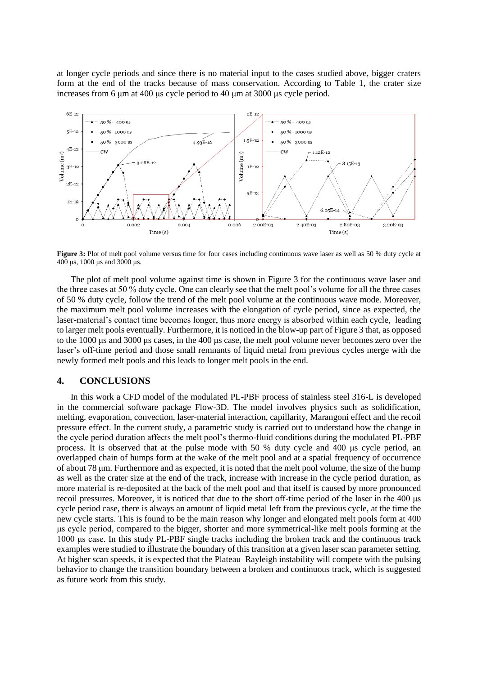at longer cycle periods and since there is no material input to the cases studied above, bigger craters form at the end of the tracks because of mass conservation. According to [Table 1,](#page-3-1) the crater size increases from 6 μm at 400 μs cycle period to 40 μm at 3000 μs cycle period.



<span id="page-4-0"></span>**Figure 3:** Plot of melt pool volume versus time for four cases including continuous wave laser as well as 50 % duty cycle at 400 μs, 1000 μs and 3000 μs.

The plot of melt pool volume against time is shown in [Figure 3](#page-4-0) for the continuous wave laser and the three cases at 50 % duty cycle. One can clearly see that the melt pool's volume for all the three cases of 50 % duty cycle, follow the trend of the melt pool volume at the continuous wave mode. Moreover, the maximum melt pool volume increases with the elongation of cycle period, since as expected, the laser-material's contact time becomes longer, thus more energy is absorbed within each cycle, leading to larger melt pools eventually. Furthermore, it is noticed in the blow-up part o[f Figure 3](#page-4-0) that, as opposed to the 1000 μs and 3000 μs cases, in the 400 μs case, the melt pool volume never becomes zero over the laser's off-time period and those small remnants of liquid metal from previous cycles merge with the newly formed melt pools and this leads to longer melt pools in the end.

#### **4. CONCLUSIONS**

In this work a CFD model of the modulated PL-PBF process of stainless steel 316-L is developed in the commercial software package Flow-3D. The model involves physics such as solidification, melting, evaporation, convection, laser-material interaction, capillarity, Marangoni effect and the recoil pressure effect. In the current study, a parametric study is carried out to understand how the change in the cycle period duration affects the melt pool's thermo-fluid conditions during the modulated PL-PBF process. It is observed that at the pulse mode with 50 % duty cycle and 400 μs cycle period, an overlapped chain of humps form at the wake of the melt pool and at a spatial frequency of occurrence of about 78 μm. Furthermore and as expected, it is noted that the melt pool volume, the size of the hump as well as the crater size at the end of the track, increase with increase in the cycle period duration, as more material is re-deposited at the back of the melt pool and that itself is caused by more pronounced recoil pressures. Moreover, it is noticed that due to the short off-time period of the laser in the 400 μs cycle period case, there is always an amount of liquid metal left from the previous cycle, at the time the new cycle starts. This is found to be the main reason why longer and elongated melt pools form at 400 μs cycle period, compared to the bigger, shorter and more symmetrical-like melt pools forming at the 1000 μs case. In this study PL-PBF single tracks including the broken track and the continuous track examples were studied to illustrate the boundary of this transition at a given laser scan parameter setting. At higher scan speeds, it is expected that the Plateau–Rayleigh instability will compete with the pulsing behavior to change the transition boundary between a broken and continuous track, which is suggested as future work from this study.